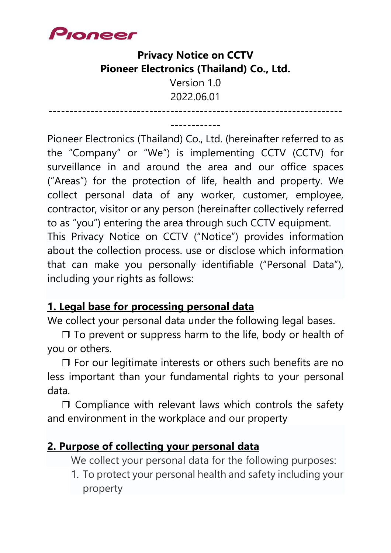

# **Privacy Notice on CCTV Pioneer Electronics (Thailand) Co., Ltd.**

Version 1.0 2022.06.01

----------------------------------------------------------------------

------------ Pioneer Electronics (Thailand) Co., Ltd. (hereinafter referred to as the "Company" or "We") is implementing CCTV (CCTV) for surveillance in and around the area and our office spaces ("Areas") for the protection of life, health and property. We collect personal data of any worker, customer, employee, contractor, visitor or any person (hereinafter collectively referred to as "you") entering the area through such CCTV equipment. This Privacy Notice on CCTV ("Notice") provides information about the collection process. use or disclose which information that can make you personally identifiable ("Personal Data"), including your rights as follows:

#### **1. Legal base for processing personal data**

We collect your personal data under the following legal bases.

 $\Box$  To prevent or suppress harm to the life, body or health of you or others.

❒ For our legitimate interests or others such benefits are no less important than your fundamental rights to your personal data.

❒ Compliance with relevant laws which controls the safety and environment in the workplace and our property

#### **2. Purpose of collecting your personal data**

We collect your personal data for the following purposes:

1. To protect your personal health and safety including your property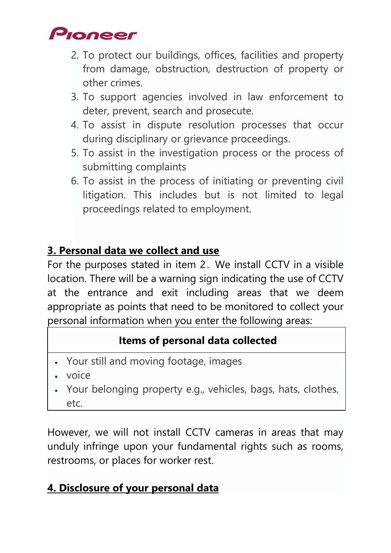

- 2. To protect our buildings, offices, facilities and property from damage, obstruction, destruction of property or other crimes.
- 3. To support agencies involved in law enforcement to deter, prevent, search and prosecute.
- 4. To assist in dispute resolution processes that occur during disciplinary or grievance proceedings.
- 5. To assist in the investigation process or the process of submitting complaints
- 6. To assist in the process of initiating or preventing civil litigation. This includes but is not limited to legal proceedings related to employment.

#### **3. Personal data we collect and use**

For the purposes stated in item 2 . We install CCTV in a visible location. There will be a warning sign indicating the use of CCTV at the entrance and exit including areas that we deem appropriate as points that need to be monitored to collect your personal information when you enter the following areas:

#### **Items of personal data collected**

- Your still and moving footage, images
- voice
- Your belonging property e.g., vehicles, bags, hats, clothes, etc.

However, we will not install CCTV cameras in areas that may unduly infringe upon your fundamental rights such as rooms, restrooms, or places for worker rest.

#### **4. Disclosure of your personal data**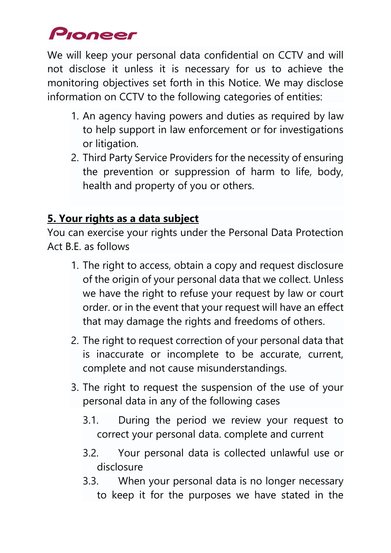# Pioneer

We will keep your personal data confidential on CCTV and will not disclose it unless it is necessary for us to achieve the monitoring objectives set forth in this Notice. We may disclose information on CCTV to the following categories of entities:

- 1. An agency having powers and duties as required by law to help support in law enforcement or for investigations or litigation.
- 2. Third Party Service Providers for the necessity of ensuring the prevention or suppression of harm to life, body, health and property of you or others.

# **5. Your rights as a data subject**

You can exercise your rights under the Personal Data Protection Act B.E. as follows

- 1. The right to access, obtain a copy and request disclosure of the origin of your personal data that we collect. Unless we have the right to refuse your request by law or court order. or in the event that your request will have an effect that may damage the rights and freedoms of others.
- 2. The right to request correction of your personal data that is inaccurate or incomplete to be accurate, current, complete and not cause misunderstandings.
- 3. The right to request the suspension of the use of your personal data in any of the following cases
	- 3.1. During the period we review your request to correct your personal data. complete and current
	- 3.2. Your personal data is collected unlawful use or disclosure
	- 3.3. When your personal data is no longer necessary to keep it for the purposes we have stated in the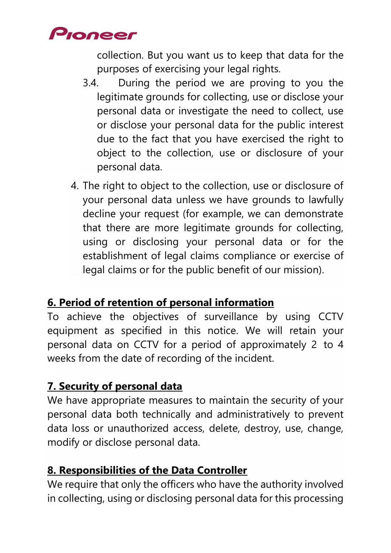# Pioneer

collection. But you want us to keep that data for the purposes of exercising your legal rights.

- 3.4. During the period we are proving to you the legitimate grounds for collecting, use or disclose your personal data or investigate the need to collect, use or disclose your personal data for the public interest due to the fact that you have exercised the right to object to the collection, use or disclosure of your personal data.
- 4. The right to object to the collection, use or disclosure of your personal data unless we have grounds to lawfully decline your request (for example, we can demonstrate that there are more legitimate grounds for collecting, using or disclosing your personal data or for the establishment of legal claims compliance or exercise of legal claims or for the public benefit of our mission).

#### **6. Period of retention of personal information**

To achieve the objectives of surveillance by using CCTV equipment as specified in this notice. We will retain your personal data on CCTV for a period of approximately 2 to 4 weeks from the date of recording of the incident.

#### **7. Security of personal data**

We have appropriate measures to maintain the security of your personal data both technically and administratively to prevent data loss or unauthorized access, delete, destroy, use, change, modify or disclose personal data.

# **8. Responsibilities of the Data Controller**

We require that only the officers who have the authority involved in collecting, using or disclosing personal data for this processing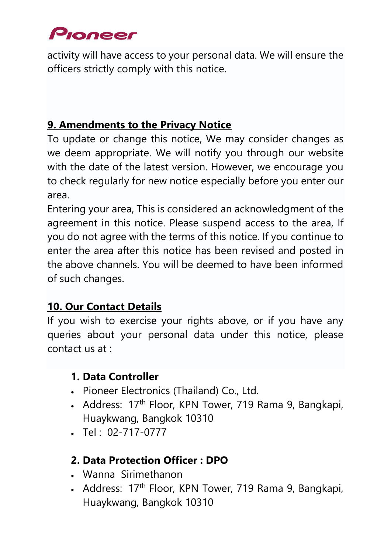# Pioneer

activity will have access to your personal data. We will ensure the officers strictly comply with this notice.

# **9. Amendments to the Privacy Notice**

To update or change this notice, We may consider changes as we deem appropriate. We will notify you through our website with the date of the latest version. However, we encourage you to check regularly for new notice especially before you enter our area.

Entering your area, This is considered an acknowledgment of the agreement in this notice. Please suspend access to the area, If you do not agree with the terms of this notice. If you continue to enter the area after this notice has been revised and posted in the above channels. You will be deemed to have been informed of such changes.

# **10. Our Contact Details**

If you wish to exercise your rights above, or if you have any queries about your personal data under this notice, please contact us at :

# **1. Data Controller**

- Pioneer Electronics (Thailand) Co., Ltd.
- Address: 17<sup>th</sup> Floor, KPN Tower, 719 Rama 9, Bangkapi, Huaykwang, Bangkok 10310
- Tel : 02-717-0777

# **2. Data Protection Officer : DPO**

- Wanna Sirimethanon
- Address: 17<sup>th</sup> Floor, KPN Tower, 719 Rama 9, Bangkapi, Huaykwang, Bangkok 10310